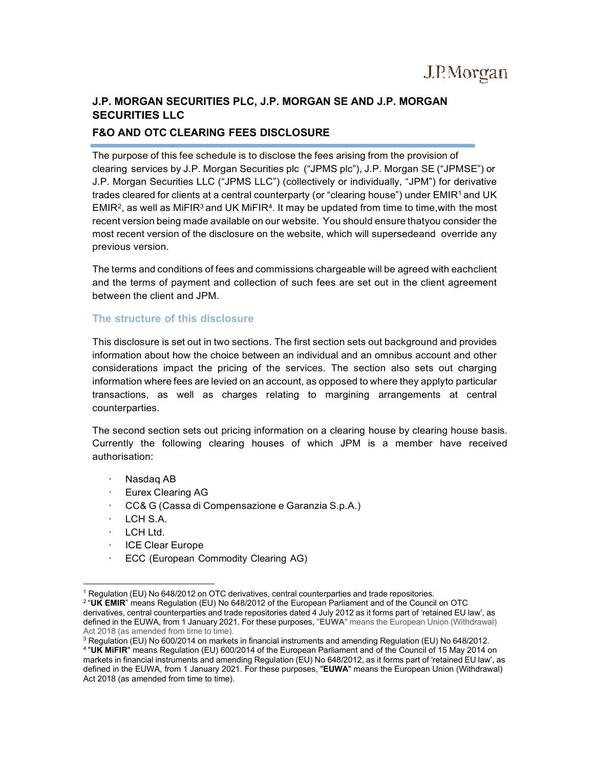# **J.P. MORGAN SECURITIES PLC, J.P. MORGAN SE AND J.P. MORGAN SECURITIES LLC**

## **F&O AND OTC CLEARING FEES DISCLOSURE**

The purpose of this fee schedule is to disclose the fees arising from the provision of clearing services by J.P. Morgan Securities plc ("JPMS plc"), J.P. Morgan SE ("JPMSE") or J.P. Morgan Securities LLC ("JPMS LLC") (collectively or individually, "JPM") for derivative trades cleared for clients at a central counterparty (or "clearing house") under EMIR<sup>1</sup> and UK EMIR<sup>2</sup>, as well as MiFIR<sup>3</sup> and UK MiFIR<sup>4</sup>. It may be updated from time to time, with the most recent version being made available on our website. You should ensure thatyou consider the most recent version of the disclosure on the website, which will supersedeand override any previous version.

The terms and conditions of fees and commissions chargeable will be agreed with eachclient and the terms of payment and collection of such fees are set out in the client agreement between the client and JPM.

#### **The structure of this disclosure**

This disclosure is set out in two sections. The first section sets out background and provides information about how the choice between an individual and an omnibus account and other considerations impact the pricing of the services. The section also sets out charging information where fees are levied on an account, as opposed to where they applyto particular transactions, as well as charges relating to margining arrangements at central counterparties.

The second section sets out pricing information on a clearing house by clearing house basis. Currently the following clearing houses of which JPM is a member have received authorisation:

- Nasdaq AB
- Eurex Clearing AG
- CC& G (Cassa di Compensazione e Garanzia S.p.A.)
- $\cdot$  LCH S.A.
- LCH Ltd.
- **ICE Clear Europe**
- ECC (European Commodity Clearing AG)

<sup>1</sup> Regulation (EU) No 648/2012 on OTC derivatives, central counterparties and trade repositories.

<sup>2 &</sup>quot;**UK EMIR**" means Regulation (EU) No 648/2012 of the European Parliament and of the Council on OTC derivatives, central counterparties and trade repositories dated 4 July 2012 as it forms part of 'retained EU law', as defined in the EUWA, from 1 January 2021. For these purposes, "**EUWA**" means the European Union (Withdrawal) Act 2018 (as amended from time to time).

<sup>&</sup>lt;sup>3</sup> Regulation (EU) No 600/2014 on markets in financial instruments and amending Regulation (EU) No 648/2012. 4 "**UK MiFIR**" means Regulation (EU) 600/2014 of the European Parliament and of the Council of 15 May 2014 on markets in financial instruments and amending Regulation (EU) No 648/2012, as it forms part of 'retained EU law', as defined in the EUWA, from 1 January 2021. For these purposes, "**EUWA**" means the European Union (Withdrawal) Act 2018 (as amended from time to time).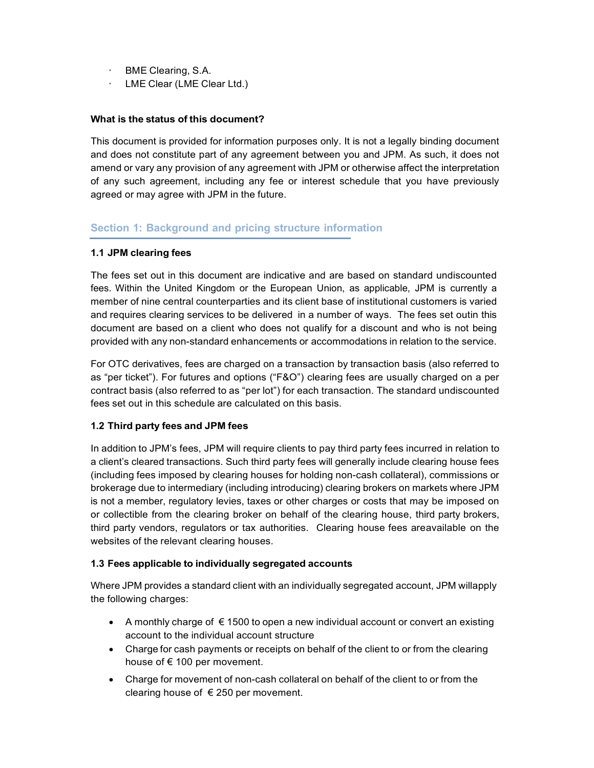- BME Clearing, S.A.
- **LME Clear (LME Clear Ltd.)**

#### **What is the status of this document?**

This document is provided for information purposes only. It is not a legally binding document and does not constitute part of any agreement between you and JPM. As such, it does not amend or vary any provision of any agreement with JPM or otherwise affect the interpretation of any such agreement, including any fee or interest schedule that you have previously agreed or may agree with JPM in the future.

### **Section 1: Background and pricing structure information**

#### **1.1 JPM clearing fees**

The fees set out in this document are indicative and are based on standard undiscounted fees. Within the United Kingdom or the European Union, as applicable, JPM is currently a member of nine central counterparties and its client base of institutional customers is varied and requires clearing services to be delivered in a number of ways. The fees set outin this document are based on a client who does not qualify for a discount and who is not being provided with any non-standard enhancements or accommodations in relation to the service.

For OTC derivatives, fees are charged on a transaction by transaction basis (also referred to as "per ticket"). For futures and options ("F&O") clearing fees are usually charged on a per contract basis (also referred to as "per lot") for each transaction. The standard undiscounted fees set out in this schedule are calculated on this basis.

#### **1.2 Third party fees and JPM fees**

In addition to JPM's fees, JPM will require clients to pay third party fees incurred in relation to a client's cleared transactions. Such third party fees will generally include clearing house fees (including fees imposed by clearing houses for holding non-cash collateral), commissions or brokerage due to intermediary (including introducing) clearing brokers on markets where JPM is not a member, regulatory levies, taxes or other charges or costs that may be imposed on or collectible from the clearing broker on behalf of the clearing house, third party brokers, third party vendors, regulators or tax authorities. Clearing house fees areavailable on the websites of the relevant clearing houses.

#### **1.3 Fees applicable to individually segregated accounts**

Where JPM provides a standard client with an individually segregated account, JPM willapply the following charges:

- A monthly charge of  $\epsilon$  1500 to open a new individual account or convert an existing account to the individual account structure
- Charge for cash payments or receipts on behalf of the client to or from the clearing house of € 100 per movement.
- Charge for movement of non-cash collateral on behalf of the client to or from the clearing house of € 250 per movement.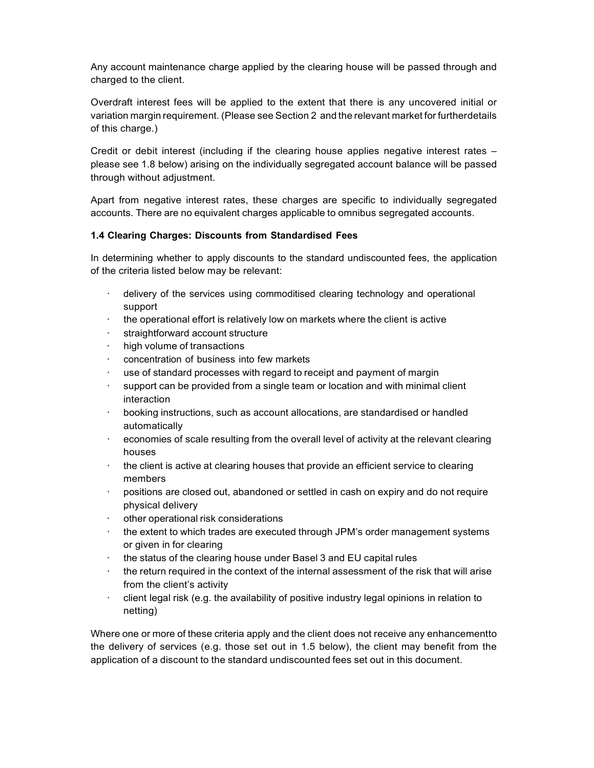Any account maintenance charge applied by the clearing house will be passed through and charged to the client.

Overdraft interest fees will be applied to the extent that there is any uncovered initial or variation margin requirement. (Please see Section 2 and the relevant market for furtherdetails of this charge.)

Credit or debit interest (including if the clearing house applies negative interest rates – please see 1.8 below) arising on the individually segregated account balance will be passed through without adjustment.

Apart from negative interest rates, these charges are specific to individually segregated accounts. There are no equivalent charges applicable to omnibus segregated accounts.

#### **1.4 Clearing Charges: Discounts from Standardised Fees**

In determining whether to apply discounts to the standard undiscounted fees, the application of the criteria listed below may be relevant:

- delivery of the services using commoditised clearing technology and operational support
- the operational effort is relatively low on markets where the client is active
- straightforward account structure
- high volume of transactions
- concentration of business into few markets
- use of standard processes with regard to receipt and payment of margin
- support can be provided from a single team or location and with minimal client interaction
- booking instructions, such as account allocations, are standardised or handled automatically
- economies of scale resulting from the overall level of activity at the relevant clearing houses
- $\cdot$  the client is active at clearing houses that provide an efficient service to clearing members
- positions are closed out, abandoned or settled in cash on expiry and do not require physical delivery
- other operational risk considerations
- the extent to which trades are executed through JPM's order management systems or given in for clearing
- the status of the clearing house under Basel 3 and EU capital rules
- the return required in the context of the internal assessment of the risk that will arise from the client's activity
- client legal risk (e.g. the availability of positive industry legal opinions in relation to netting)

Where one or more of these criteria apply and the client does not receive any enhancementto the delivery of services (e.g. those set out in 1.5 below), the client may benefit from the application of a discount to the standard undiscounted fees set out in this document.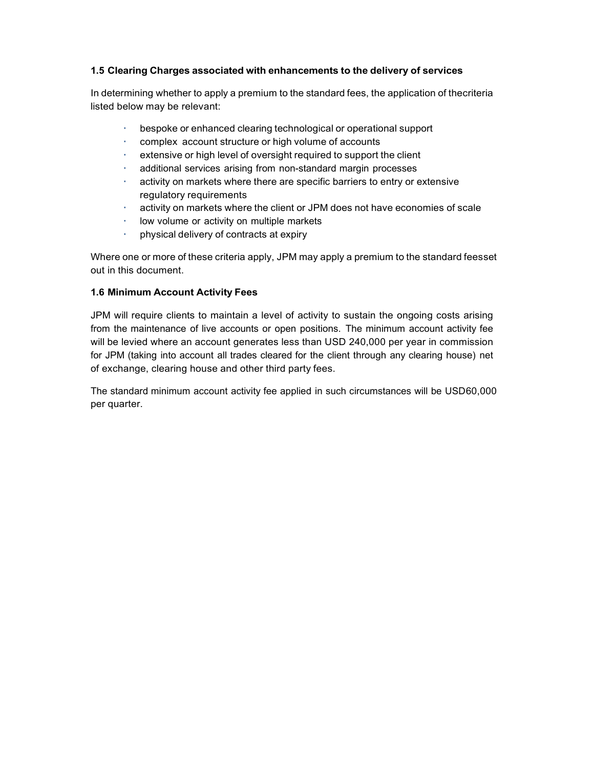#### **1.5 Clearing Charges associated with enhancements to the delivery of services**

In determining whether to apply a premium to the standard fees, the application of thecriteria listed below may be relevant:

- bespoke or enhanced clearing technological or operational support
- complex account structure or high volume of accounts
- extensive or high level of oversight required to support the client
- additional services arising from non-standard margin processes
- activity on markets where there are specific barriers to entry or extensive regulatory requirements
- activity on markets where the client or JPM does not have economies of scale
- low volume or activity on multiple markets
- physical delivery of contracts at expiry

Where one or more of these criteria apply, JPM may apply a premium to the standard feesset out in this document.

#### **1.6 Minimum Account Activity Fees**

JPM will require clients to maintain a level of activity to sustain the ongoing costs arising from the maintenance of live accounts or open positions. The minimum account activity fee will be levied where an account generates less than USD 240,000 per year in commission for JPM (taking into account all trades cleared for the client through any clearing house) net of exchange, clearing house and other third party fees.

The standard minimum account activity fee applied in such circumstances will be USD60,000 per quarter.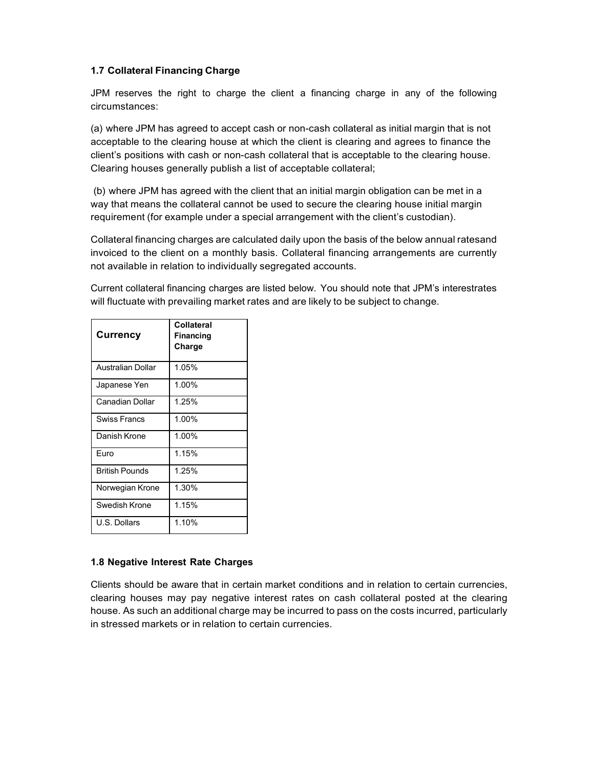#### **1.7 Collateral Financing Charge**

JPM reserves the right to charge the client a financing charge in any of the following circumstances:

(a) where JPM has agreed to accept cash or non-cash collateral as initial margin that is not acceptable to the clearing house at which the client is clearing and agrees to finance the client's positions with cash or non-cash collateral that is acceptable to the clearing house. Clearing houses generally publish a list of acceptable collateral;

(b) where JPM has agreed with the client that an initial margin obligation can be met in a way that means the collateral cannot be used to secure the clearing house initial margin requirement (for example under a special arrangement with the client's custodian).

Collateral financing charges are calculated daily upon the basis of the below annual ratesand invoiced to the client on a monthly basis. Collateral financing arrangements are currently not available in relation to individually segregated accounts.

Current collateral financing charges are listed below. You should note that JPM's interestrates will fluctuate with prevailing market rates and are likely to be subject to change.

| <b>Currency</b>        | <b>Collateral</b><br><b>Financing</b><br>Charge |
|------------------------|-------------------------------------------------|
| Australian Dollar      | 1.05%                                           |
| Japanese Yen           | 1.00%                                           |
| <b>Canadian Dollar</b> | 1.25%                                           |
| <b>Swiss Francs</b>    | 1.00%                                           |
| Danish Krone           | 1.00%                                           |
| Furo                   | 1.15%                                           |
| <b>British Pounds</b>  | 1.25%                                           |
| Norwegian Krone        | 1.30%                                           |
| Swedish Krone          | 1.15%                                           |
| U.S. Dollars           | 1.10%                                           |

#### **1.8 Negative Interest Rate Charges**

Clients should be aware that in certain market conditions and in relation to certain currencies, clearing houses may pay negative interest rates on cash collateral posted at the clearing house. As such an additional charge may be incurred to pass on the costs incurred, particularly in stressed markets or in relation to certain currencies.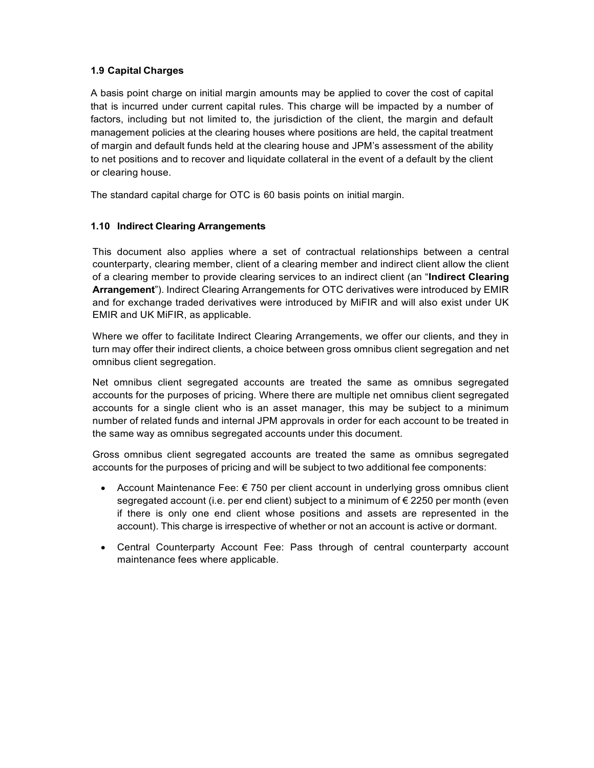#### **1.9 Capital Charges**

A basis point charge on initial margin amounts may be applied to cover the cost of capital that is incurred under current capital rules. This charge will be impacted by a number of factors, including but not limited to, the jurisdiction of the client, the margin and default management policies at the clearing houses where positions are held, the capital treatment of margin and default funds held at the clearing house and JPM's assessment of the ability to net positions and to recover and liquidate collateral in the event of a default by the client or clearing house.

The standard capital charge for OTC is 60 basis points on initial margin.

### **1.10 Indirect Clearing Arrangements**

This document also applies where a set of contractual relationships between a central counterparty, clearing member, client of a clearing member and indirect client allow the client of a clearing member to provide clearing services to an indirect client (an "**Indirect Clearing Arrangement**"). Indirect Clearing Arrangements for OTC derivatives were introduced by EMIR and for exchange traded derivatives were introduced by MiFIR and will also exist under UK EMIR and UK MiFIR, as applicable.

Where we offer to facilitate Indirect Clearing Arrangements, we offer our clients, and they in turn may offer their indirect clients, a choice between gross omnibus client segregation and net omnibus client segregation.

Net omnibus client segregated accounts are treated the same as omnibus segregated accounts for the purposes of pricing. Where there are multiple net omnibus client segregated accounts for a single client who is an asset manager, this may be subject to a minimum number of related funds and internal JPM approvals in order for each account to be treated in the same way as omnibus segregated accounts under this document.

Gross omnibus client segregated accounts are treated the same as omnibus segregated accounts for the purposes of pricing and will be subject to two additional fee components:

- Account Maintenance Fee: € 750 per client account in underlying gross omnibus client segregated account (i.e. per end client) subject to a minimum of € 2250 per month (even if there is only one end client whose positions and assets are represented in the account). This charge is irrespective of whether or not an account is active or dormant.
- Central Counterparty Account Fee: Pass through of central counterparty account maintenance fees where applicable.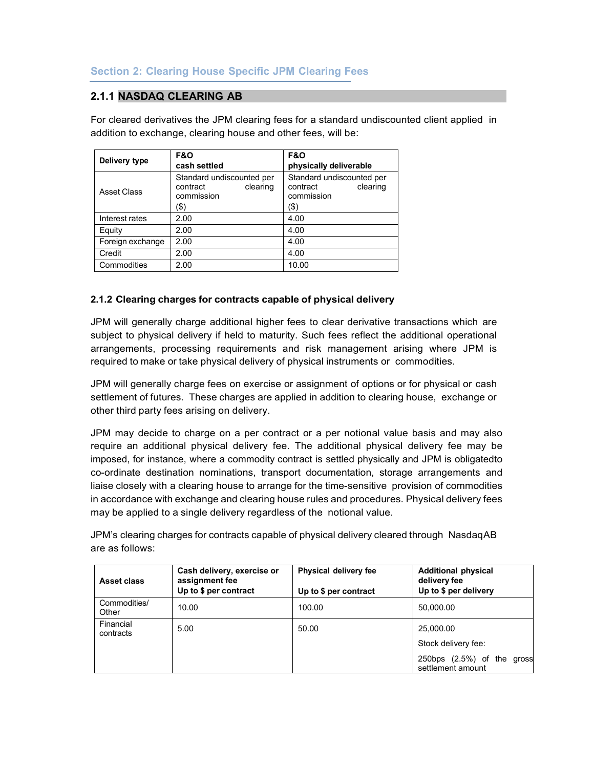## **2.1.1 NASDAQ CLEARING AB**

For cleared derivatives the JPM clearing fees for a standard undiscounted client applied in addition to exchange, clearing house and other fees, will be:

|                  | <b>F&amp;O</b>                                                          | <b>F&amp;O</b>                                                          |  |
|------------------|-------------------------------------------------------------------------|-------------------------------------------------------------------------|--|
| Delivery type    | cash settled                                                            | physically deliverable                                                  |  |
| Asset Class      | Standard undiscounted per<br>contract<br>clearing<br>commission<br>(\$) | Standard undiscounted per<br>contract<br>clearing<br>commission<br>(\$) |  |
| Interest rates   | 2.00                                                                    | 4.00                                                                    |  |
| Equity           | 2.00                                                                    | 4.00                                                                    |  |
| Foreign exchange | 2.00                                                                    | 4.00                                                                    |  |
| Credit           | 2.00                                                                    | 4.00                                                                    |  |
| Commodities      | 2.00                                                                    | 10.00                                                                   |  |

### **2.1.2 Clearing charges for contracts capable of physical delivery**

JPM will generally charge additional higher fees to clear derivative transactions which are subject to physical delivery if held to maturity. Such fees reflect the additional operational arrangements, processing requirements and risk management arising where JPM is required to make or take physical delivery of physical instruments or commodities.

JPM will generally charge fees on exercise or assignment of options or for physical or cash settlement of futures. These charges are applied in addition to clearing house, exchange or other third party fees arising on delivery.

JPM may decide to charge on a per contract or a per notional value basis and may also require an additional physical delivery fee. The additional physical delivery fee may be imposed, for instance, where a commodity contract is settled physically and JPM is obligatedto co-ordinate destination nominations, transport documentation, storage arrangements and liaise closely with a clearing house to arrange for the time-sensitive provision of commodities in accordance with exchange and clearing house rules and procedures. Physical delivery fees may be applied to a single delivery regardless of the notional value.

JPM's clearing charges for contracts capable of physical delivery cleared through NasdaqAB are as follows:

| Asset class            | Cash delivery, exercise or<br>assignment fee<br>Up to \$ per contract | <b>Physical delivery fee</b><br>Up to \$ per contract | <b>Additional physical</b><br>delivery fee<br>Up to \$ per delivery                    |
|------------------------|-----------------------------------------------------------------------|-------------------------------------------------------|----------------------------------------------------------------------------------------|
| Commodities/<br>Other  | 10.00                                                                 | 100.00                                                | 50,000.00                                                                              |
| Financial<br>contracts | 5.00                                                                  | 50.00                                                 | 25,000.00<br>Stock delivery fee:<br>250bps (2.5%) of the<br>gross<br>settlement amount |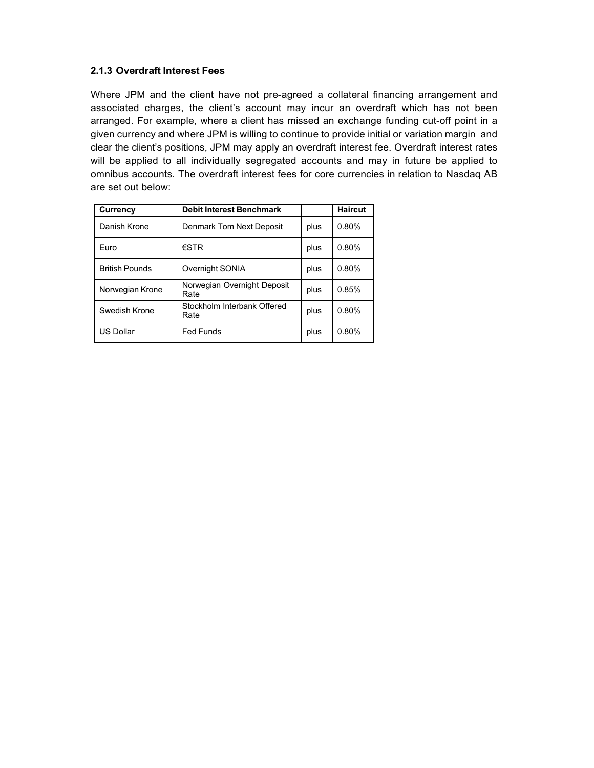#### **2.1.3 Overdraft Interest Fees**

Where JPM and the client have not pre-agreed a collateral financing arrangement and associated charges, the client's account may incur an overdraft which has not been arranged. For example, where a client has missed an exchange funding cut-off point in a given currency and where JPM is willing to continue to provide initial or variation margin and clear the client's positions, JPM may apply an overdraft interest fee. Overdraft interest rates will be applied to all individually segregated accounts and may in future be applied to omnibus accounts. The overdraft interest fees for core currencies in relation to Nasdaq AB are set out below:

| Currency              | <b>Debit Interest Benchmark</b>     |      | <b>Haircut</b> |
|-----------------------|-------------------------------------|------|----------------|
| Danish Krone          | Denmark Tom Next Deposit            | plus | 0.80%          |
| Furo                  | $\epsilon$ STR                      | plus | 0.80%          |
| <b>British Pounds</b> | Overnight SONIA                     | plus | 0.80%          |
| Norwegian Krone       | Norwegian Overnight Deposit<br>Rate | plus | 0.85%          |
| Swedish Krone         | Stockholm Interbank Offered<br>Rate | plus | 0.80%          |
| <b>US Dollar</b>      | <b>Fed Funds</b>                    | plus | 0.80%          |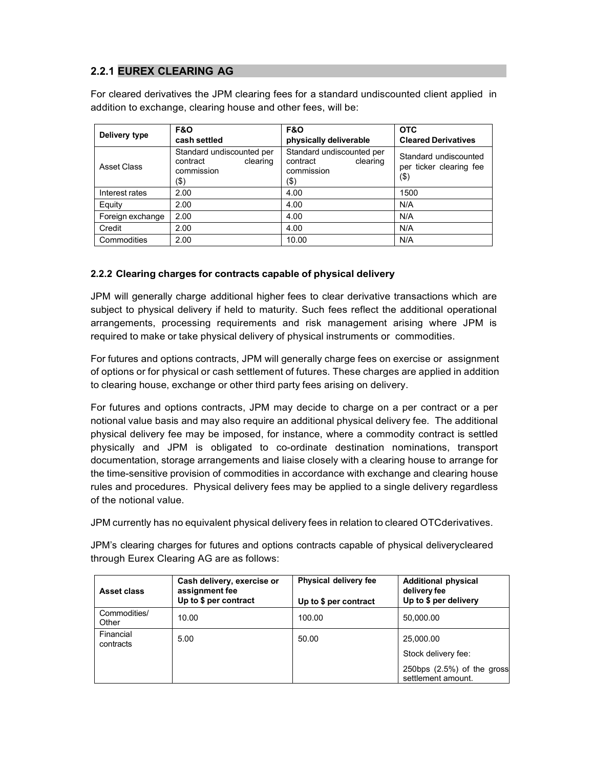# **2.2.1 EUREX CLEARING AG**

For cleared derivatives the JPM clearing fees for a standard undiscounted client applied in addition to exchange, clearing house and other fees, will be:

| Delivery type    | <b>F&amp;O</b><br>cash settled                                          | <b>F&amp;O</b><br>physically deliverable                                | <b>OTC</b><br><b>Cleared Derivatives</b>                   |
|------------------|-------------------------------------------------------------------------|-------------------------------------------------------------------------|------------------------------------------------------------|
| Asset Class      | Standard undiscounted per<br>contract<br>clearing<br>commission<br>(\$) | Standard undiscounted per<br>contract<br>clearing<br>commission<br>(\$) | Standard undiscounted<br>per ticker clearing fee<br>$(\$)$ |
| Interest rates   | 2.00                                                                    | 4.00                                                                    | 1500                                                       |
| Equity           | 2.00                                                                    | 4.00                                                                    | N/A                                                        |
| Foreign exchange | 2.00                                                                    | 4.00                                                                    | N/A                                                        |
| Credit           | 2.00                                                                    | 4.00                                                                    | N/A                                                        |
| Commodities      | 2.00                                                                    | 10.00                                                                   | N/A                                                        |

### **2.2.2 Clearing charges for contracts capable of physical delivery**

JPM will generally charge additional higher fees to clear derivative transactions which are subject to physical delivery if held to maturity. Such fees reflect the additional operational arrangements, processing requirements and risk management arising where JPM is required to make or take physical delivery of physical instruments or commodities.

For futures and options contracts, JPM will generally charge fees on exercise or assignment of options or for physical or cash settlement of futures. These charges are applied in addition to clearing house, exchange or other third party fees arising on delivery.

For futures and options contracts, JPM may decide to charge on a per contract or a per notional value basis and may also require an additional physical delivery fee. The additional physical delivery fee may be imposed, for instance, where a commodity contract is settled physically and JPM is obligated to co-ordinate destination nominations, transport documentation, storage arrangements and liaise closely with a clearing house to arrange for the time-sensitive provision of commodities in accordance with exchange and clearing house rules and procedures. Physical delivery fees may be applied to a single delivery regardless of the notional value.

JPM currently has no equivalent physical delivery fees in relation to cleared OTCderivatives.

JPM's clearing charges for futures and options contracts capable of physical deliverycleared through Eurex Clearing AG are as follows:

| Asset class            | Cash delivery, exercise or<br>assignment fee<br>Up to \$ per contract | <b>Physical delivery fee</b><br>Up to \$ per contract | <b>Additional physical</b><br>delivery fee<br>Up to \$ per delivery |
|------------------------|-----------------------------------------------------------------------|-------------------------------------------------------|---------------------------------------------------------------------|
| Commodities/<br>Other  | 10.00                                                                 | 100.00                                                | 50,000.00                                                           |
| Financial<br>contracts | 5.00                                                                  | 50.00                                                 | 25,000.00                                                           |
|                        |                                                                       |                                                       | Stock delivery fee:                                                 |
|                        |                                                                       |                                                       | 250bps $(2.5%)$ of the gross<br>settlement amount.                  |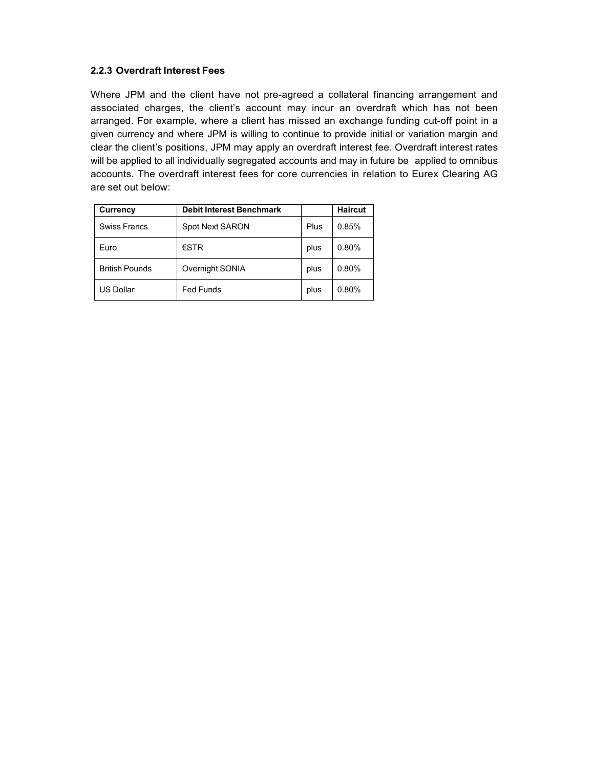#### **2.2.3 Overdraft Interest Fees**

Where JPM and the client have not pre-agreed a collateral financing arrangement and associated charges, the client's account may incur an overdraft which has not been arranged. For example, where a client has missed an exchange funding cut-off point in a given currency and where JPM is willing to continue to provide initial or variation margin and clear the client's positions, JPM may apply an overdraft interest fee. Overdraft interest rates will be applied to all individually segregated accounts and may in future be applied to omnibus accounts. The overdraft interest fees for core currencies in relation to Eurex Clearing AG are set out below:

| Currency              | <b>Debit Interest Benchmark</b> |      | <b>Haircut</b> |
|-----------------------|---------------------------------|------|----------------|
| <b>Swiss Francs</b>   | Spot Next SARON                 | Plus | 0.85%          |
| Euro                  | $\epsilon$ STR                  | plus | 0.80%          |
| <b>British Pounds</b> | Overnight SONIA                 | plus | 0.80%          |
| <b>US Dollar</b>      | <b>Fed Funds</b>                | plus | 0.80%          |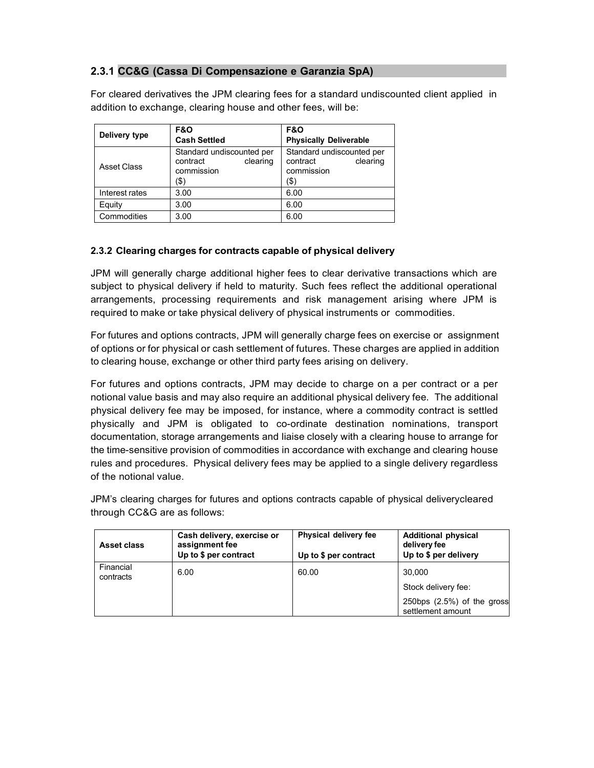### **2.3.1 CC&G (Cassa Di Compensazione e Garanzia SpA)**

For cleared derivatives the JPM clearing fees for a standard undiscounted client applied in addition to exchange, clearing house and other fees, will be:

| Delivery type  | <b>F&amp;O</b><br><b>Cash Settled</b>                                      | <b>F&amp;O</b><br><b>Physically Deliverable</b>                         |
|----------------|----------------------------------------------------------------------------|-------------------------------------------------------------------------|
| Asset Class    | Standard undiscounted per<br>clearing<br>contract<br>commission<br>$($ \$) | Standard undiscounted per<br>clearing<br>contract<br>commission<br>(\$) |
| Interest rates | 3.00                                                                       | 6.00                                                                    |
| Equity         | 3.00                                                                       | 6.00                                                                    |
| Commodities    | 3.00                                                                       | 6.00                                                                    |

### **2.3.2 Clearing charges for contracts capable of physical delivery**

JPM will generally charge additional higher fees to clear derivative transactions which are subject to physical delivery if held to maturity. Such fees reflect the additional operational arrangements, processing requirements and risk management arising where JPM is required to make or take physical delivery of physical instruments or commodities.

For futures and options contracts, JPM will generally charge fees on exercise or assignment of options or for physical or cash settlement of futures. These charges are applied in addition to clearing house, exchange or other third party fees arising on delivery.

For futures and options contracts, JPM may decide to charge on a per contract or a per notional value basis and may also require an additional physical delivery fee. The additional physical delivery fee may be imposed, for instance, where a commodity contract is settled physically and JPM is obligated to co-ordinate destination nominations, transport documentation, storage arrangements and liaise closely with a clearing house to arrange for the time-sensitive provision of commodities in accordance with exchange and clearing house rules and procedures. Physical delivery fees may be applied to a single delivery regardless of the notional value.

JPM's clearing charges for futures and options contracts capable of physical deliverycleared through CC&G are as follows:

| <b>Asset class</b>     | Cash delivery, exercise or<br>assignment fee<br>Up to \$ per contract | <b>Physical delivery fee</b><br>Up to \$ per contract | <b>Additional physical</b><br>delivery fee<br>Up to \$ per delivery |
|------------------------|-----------------------------------------------------------------------|-------------------------------------------------------|---------------------------------------------------------------------|
| Financial<br>contracts | 6.00                                                                  | 60.00                                                 | 30.000                                                              |
|                        |                                                                       |                                                       | Stock delivery fee:                                                 |
|                        |                                                                       |                                                       | 250bps $(2.5%)$ of the gross<br>settlement amount                   |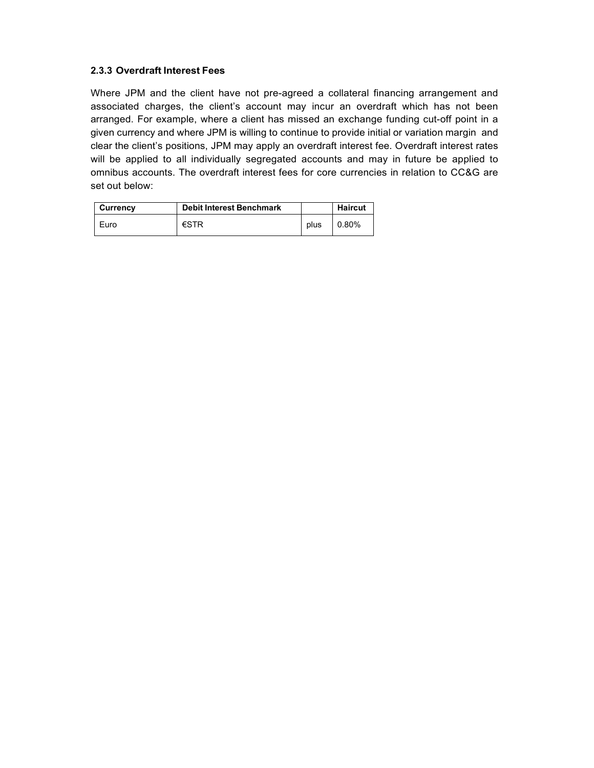#### **2.3.3 Overdraft Interest Fees**

Where JPM and the client have not pre-agreed a collateral financing arrangement and associated charges, the client's account may incur an overdraft which has not been arranged. For example, where a client has missed an exchange funding cut-off point in a given currency and where JPM is willing to continue to provide initial or variation margin and clear the client's positions, JPM may apply an overdraft interest fee. Overdraft interest rates will be applied to all individually segregated accounts and may in future be applied to omnibus accounts. The overdraft interest fees for core currencies in relation to CC&G are set out below:

| Currency | <b>Debit Interest Benchmark</b> |      | <b>Haircut</b> |
|----------|---------------------------------|------|----------------|
| Euro     | €STR                            | plus | 0.80%          |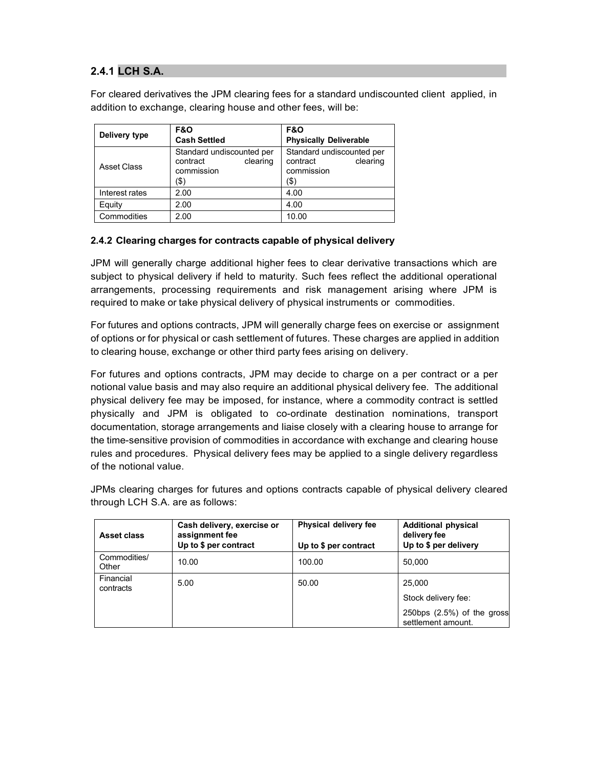## **2.4.1 LCH S.A.**

For cleared derivatives the JPM clearing fees for a standard undiscounted client applied, in addition to exchange, clearing house and other fees, will be:

| Delivery type  | <b>F&amp;O</b>                                                          | <b>F&amp;O</b>                                                          |  |
|----------------|-------------------------------------------------------------------------|-------------------------------------------------------------------------|--|
|                | <b>Cash Settled</b><br><b>Physically Deliverable</b>                    |                                                                         |  |
| Asset Class    | Standard undiscounted per<br>clearing<br>contract<br>commission<br>(\$) | Standard undiscounted per<br>clearing<br>contract<br>commission<br>(\$) |  |
| Interest rates | 2.00                                                                    | 4.00                                                                    |  |
| Equity         | 2.00                                                                    | 4.00                                                                    |  |
| Commodities    | 2.00                                                                    | 10.00                                                                   |  |

### **2.4.2 Clearing charges for contracts capable of physical delivery**

JPM will generally charge additional higher fees to clear derivative transactions which are subject to physical delivery if held to maturity. Such fees reflect the additional operational arrangements, processing requirements and risk management arising where JPM is required to make or take physical delivery of physical instruments or commodities.

For futures and options contracts, JPM will generally charge fees on exercise or assignment of options or for physical or cash settlement of futures. These charges are applied in addition to clearing house, exchange or other third party fees arising on delivery.

For futures and options contracts, JPM may decide to charge on a per contract or a per notional value basis and may also require an additional physical delivery fee. The additional physical delivery fee may be imposed, for instance, where a commodity contract is settled physically and JPM is obligated to co-ordinate destination nominations, transport documentation, storage arrangements and liaise closely with a clearing house to arrange for the time-sensitive provision of commodities in accordance with exchange and clearing house rules and procedures. Physical delivery fees may be applied to a single delivery regardless of the notional value.

JPMs clearing charges for futures and options contracts capable of physical delivery cleared through LCH S.A. are as follows:

| <b>Asset class</b>     | Cash delivery, exercise or<br>assignment fee<br>Up to \$ per contract | <b>Physical delivery fee</b><br>Up to \$ per contract | <b>Additional physical</b><br>delivery fee<br>Up to \$ per delivery |
|------------------------|-----------------------------------------------------------------------|-------------------------------------------------------|---------------------------------------------------------------------|
| Commodities/<br>Other  | 10.00                                                                 | 100.00                                                | 50,000                                                              |
| Financial<br>contracts | 5.00                                                                  | 50.00                                                 | 25,000<br>Stock delivery fee:                                       |
|                        |                                                                       |                                                       | 250bps (2.5%) of the gross<br>settlement amount.                    |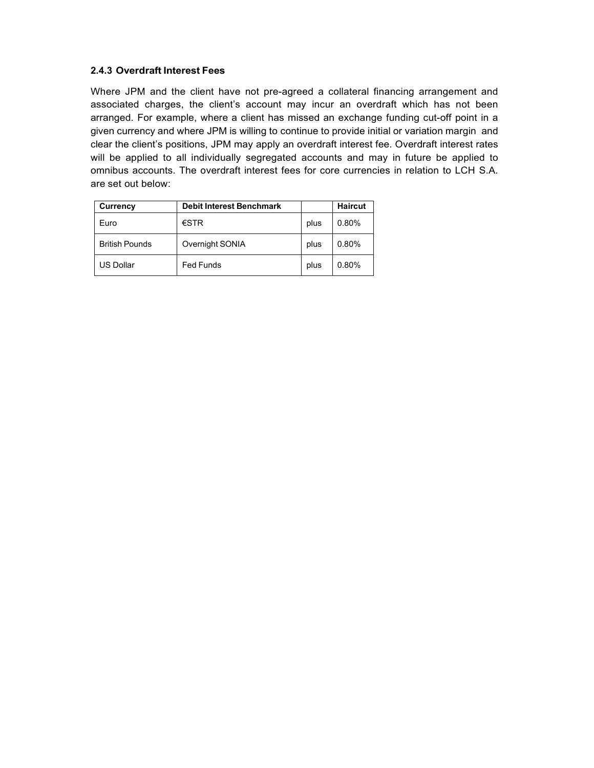### **2.4.3 Overdraft Interest Fees**

Where JPM and the client have not pre-agreed a collateral financing arrangement and associated charges, the client's account may incur an overdraft which has not been arranged. For example, where a client has missed an exchange funding cut-off point in a given currency and where JPM is willing to continue to provide initial or variation margin and clear the client's positions, JPM may apply an overdraft interest fee. Overdraft interest rates will be applied to all individually segregated accounts and may in future be applied to omnibus accounts. The overdraft interest fees for core currencies in relation to LCH S.A. are set out below:

| Currency              | <b>Debit Interest Benchmark</b> |      | <b>Haircut</b> |
|-----------------------|---------------------------------|------|----------------|
| Euro                  | $\epsilon$ STR                  | plus | 0.80%          |
| <b>British Pounds</b> | Overnight SONIA                 | plus | 0.80%          |
| <b>US Dollar</b>      | <b>Fed Funds</b>                | plus | 0.80%          |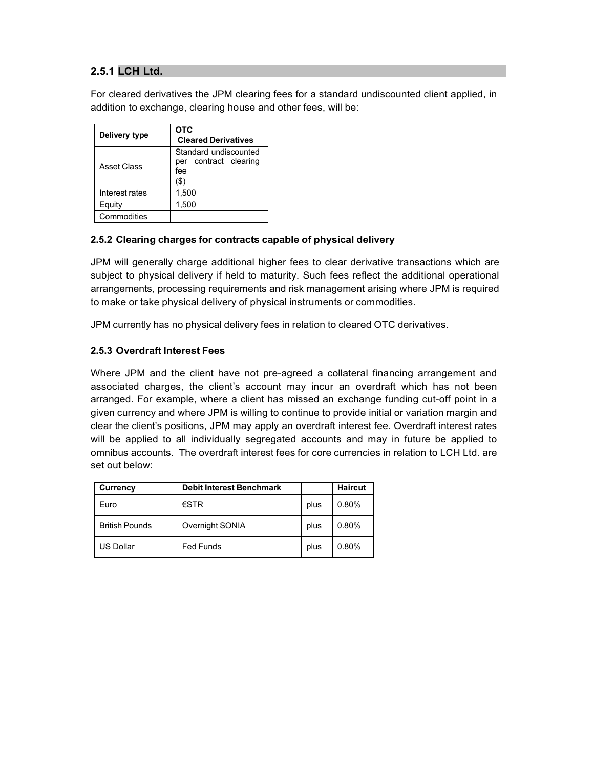## **2.5.1 LCH Ltd.**

For cleared derivatives the JPM clearing fees for a standard undiscounted client applied, in addition to exchange, clearing house and other fees, will be:

| Delivery type  | <b>OTC</b><br><b>Cleared Derivatives</b>                        |
|----------------|-----------------------------------------------------------------|
| Asset Class    | Standard undiscounted<br>per contract clearing<br>fee<br>$($ \$ |
| Interest rates | 1,500                                                           |
| Equity         | 1,500                                                           |
| Commodities    |                                                                 |

### **2.5.2 Clearing charges for contracts capable of physical delivery**

JPM will generally charge additional higher fees to clear derivative transactions which are subject to physical delivery if held to maturity. Such fees reflect the additional operational arrangements, processing requirements and risk management arising where JPM is required to make or take physical delivery of physical instruments or commodities.

JPM currently has no physical delivery fees in relation to cleared OTC derivatives.

#### **2.5.3 Overdraft Interest Fees**

Where JPM and the client have not pre-agreed a collateral financing arrangement and associated charges, the client's account may incur an overdraft which has not been arranged. For example, where a client has missed an exchange funding cut-off point in a given currency and where JPM is willing to continue to provide initial or variation margin and clear the client's positions, JPM may apply an overdraft interest fee. Overdraft interest rates will be applied to all individually segregated accounts and may in future be applied to omnibus accounts. The overdraft interest fees for core currencies in relation to LCH Ltd. are set out below:

| Currency              | <b>Debit Interest Benchmark</b> |      | <b>Haircut</b> |
|-----------------------|---------------------------------|------|----------------|
| Euro                  | $\epsilon$ STR                  | plus | 0.80%          |
| <b>British Pounds</b> | Overnight SONIA                 | plus | 0.80%          |
| <b>US Dollar</b>      | <b>Fed Funds</b>                | plus | 0.80%          |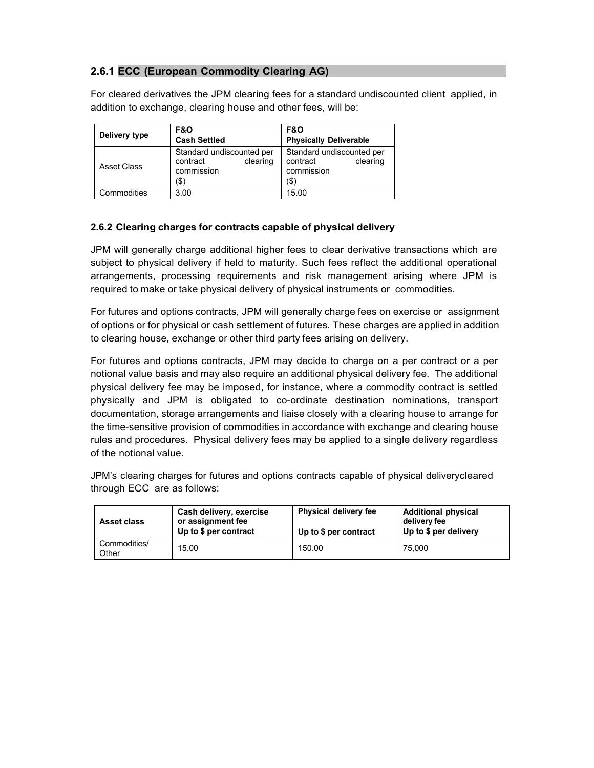### **2.6.1 ECC (European Commodity Clearing AG)**

For cleared derivatives the JPM clearing fees for a standard undiscounted client applied, in addition to exchange, clearing house and other fees, will be:

| Delivery type | <b>F&amp;O</b><br><b>Cash Settled</b>                                   | <b>F&amp;O</b><br><b>Physically Deliverable</b>                         |
|---------------|-------------------------------------------------------------------------|-------------------------------------------------------------------------|
| Asset Class   | Standard undiscounted per<br>clearing<br>contract<br>commission<br>(\$) | Standard undiscounted per<br>clearing<br>contract<br>commission<br>(\$) |
| Commodities   | 3.00                                                                    | 15.00                                                                   |

### **2.6.2 Clearing charges for contracts capable of physical delivery**

JPM will generally charge additional higher fees to clear derivative transactions which are subject to physical delivery if held to maturity. Such fees reflect the additional operational arrangements, processing requirements and risk management arising where JPM is required to make or take physical delivery of physical instruments or commodities.

For futures and options contracts, JPM will generally charge fees on exercise or assignment of options or for physical or cash settlement of futures. These charges are applied in addition to clearing house, exchange or other third party fees arising on delivery.

For futures and options contracts, JPM may decide to charge on a per contract or a per notional value basis and may also require an additional physical delivery fee. The additional physical delivery fee may be imposed, for instance, where a commodity contract is settled physically and JPM is obligated to co-ordinate destination nominations, transport documentation, storage arrangements and liaise closely with a clearing house to arrange for the time-sensitive provision of commodities in accordance with exchange and clearing house rules and procedures. Physical delivery fees may be applied to a single delivery regardless of the notional value.

JPM's clearing charges for futures and options contracts capable of physical deliverycleared through ECC are as follows:

| <b>Asset class</b>    | Cash delivery, exercise<br>or assignment fee<br>Up to \$ per contract | Physical delivery fee<br>Up to \$ per contract | <b>Additional physical</b><br>delivery fee<br>Up to \$ per delivery |
|-----------------------|-----------------------------------------------------------------------|------------------------------------------------|---------------------------------------------------------------------|
| Commodities/<br>Other | 15.00                                                                 | 150.00                                         | 75.000                                                              |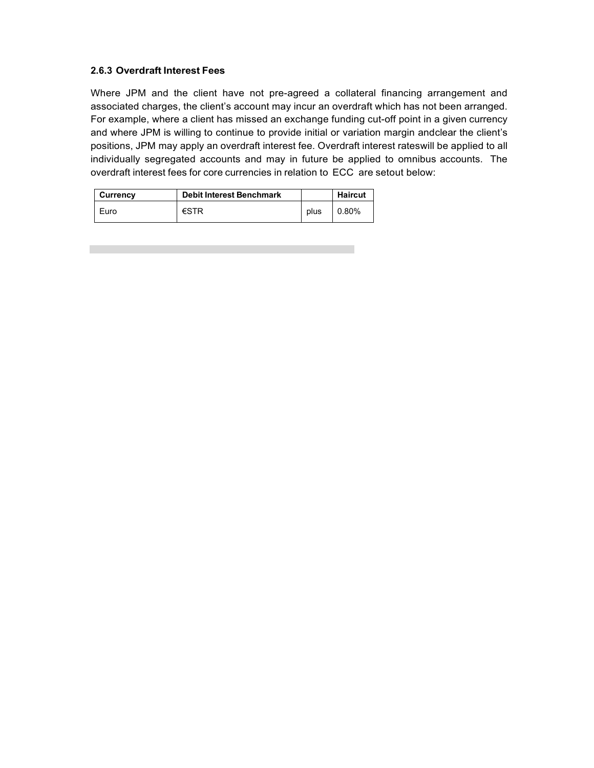#### **2.6.3 Overdraft Interest Fees**

Where JPM and the client have not pre-agreed a collateral financing arrangement and associated charges, the client's account may incur an overdraft which has not been arranged. For example, where a client has missed an exchange funding cut-off point in a given currency and where JPM is willing to continue to provide initial or variation margin andclear the client's positions, JPM may apply an overdraft interest fee. Overdraft interest rateswill be applied to all individually segregated accounts and may in future be applied to omnibus accounts. The overdraft interest fees for core currencies in relation to ECC are setout below:

| Currency | Debit Interest Benchmark |      | <b>Haircut</b> |
|----------|--------------------------|------|----------------|
| Euro     | $\epsilon$ STR           | plus | 0.80%          |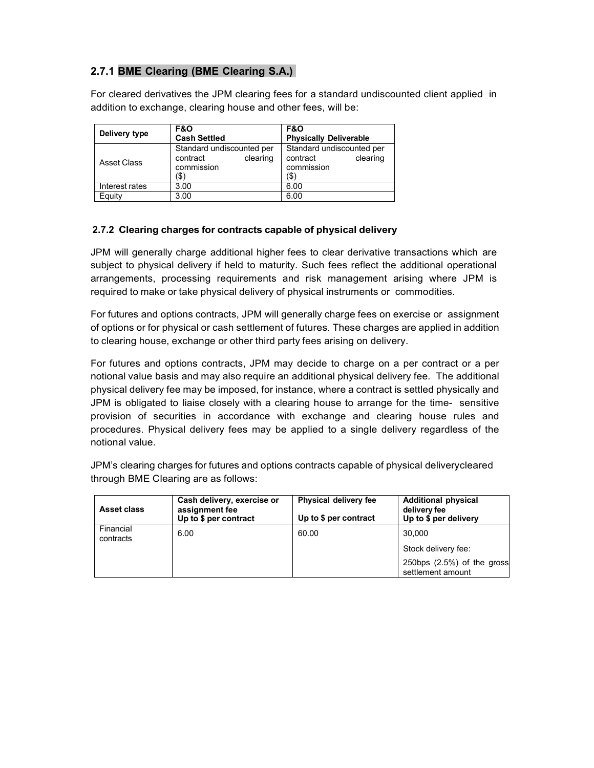## **2.7.1 BME Clearing (BME Clearing S.A.)**

For cleared derivatives the JPM clearing fees for a standard undiscounted client applied in addition to exchange, clearing house and other fees, will be:

| Delivery type  | <b>F&amp;O</b><br><b>Cash Settled</b>                                   | <b>F&amp;O</b><br><b>Physically Deliverable</b>                         |  |
|----------------|-------------------------------------------------------------------------|-------------------------------------------------------------------------|--|
| Asset Class    | Standard undiscounted per<br>clearing<br>contract<br>commission<br>(\$) | Standard undiscounted per<br>contract<br>clearing<br>commission<br>(\$` |  |
| Interest rates | 3.00                                                                    | 6.00                                                                    |  |
| Equity         | 3.00                                                                    | 6.00                                                                    |  |

### **2.7.2 Clearing charges for contracts capable of physical delivery**

JPM will generally charge additional higher fees to clear derivative transactions which are subject to physical delivery if held to maturity. Such fees reflect the additional operational arrangements, processing requirements and risk management arising where JPM is required to make or take physical delivery of physical instruments or commodities.

For futures and options contracts, JPM will generally charge fees on exercise or assignment of options or for physical or cash settlement of futures. These charges are applied in addition to clearing house, exchange or other third party fees arising on delivery.

For futures and options contracts, JPM may decide to charge on a per contract or a per notional value basis and may also require an additional physical delivery fee. The additional physical delivery fee may be imposed, for instance, where a contract is settled physically and JPM is obligated to liaise closely with a clearing house to arrange for the time- sensitive provision of securities in accordance with exchange and clearing house rules and procedures. Physical delivery fees may be applied to a single delivery regardless of the notional value.

JPM's clearing charges for futures and options contracts capable of physical deliverycleared through BME Clearing are as follows:

| <b>Asset class</b>     | Cash delivery, exercise or<br>assignment fee<br>Up to \$ per contract | Physical delivery fee<br>Up to \$ per contract | <b>Additional physical</b><br>delivery fee<br>Up to \$ per delivery |
|------------------------|-----------------------------------------------------------------------|------------------------------------------------|---------------------------------------------------------------------|
| Financial<br>contracts | 6.00                                                                  | 60.00                                          | 30.000                                                              |
|                        |                                                                       |                                                | Stock delivery fee:                                                 |
|                        |                                                                       |                                                | 250bps $(2.5%)$ of the gross<br>settlement amount                   |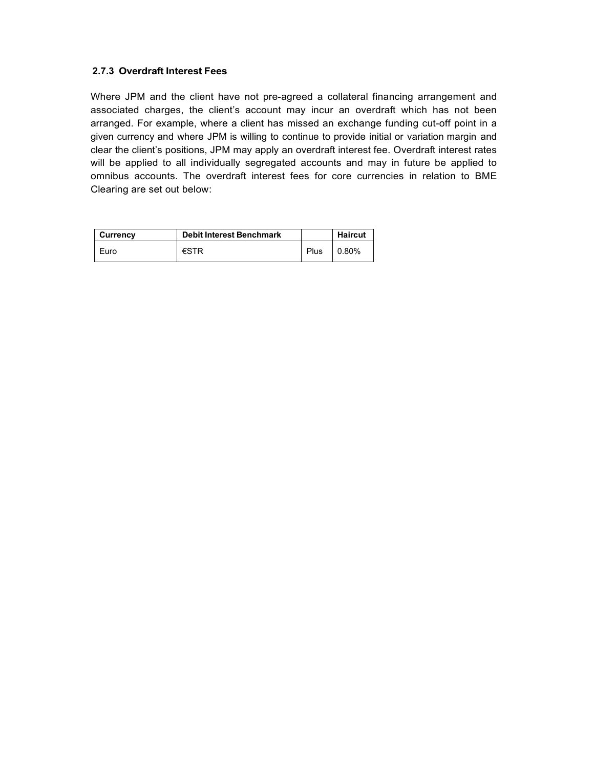#### **2.7.3 Overdraft Interest Fees**

Where JPM and the client have not pre-agreed a collateral financing arrangement and associated charges, the client's account may incur an overdraft which has not been arranged. For example, where a client has missed an exchange funding cut-off point in a given currency and where JPM is willing to continue to provide initial or variation margin and clear the client's positions, JPM may apply an overdraft interest fee. Overdraft interest rates will be applied to all individually segregated accounts and may in future be applied to omnibus accounts. The overdraft interest fees for core currencies in relation to BME Clearing are set out below:

| Currency | <b>Debit Interest Benchmark</b> |      | <b>Haircut</b> |
|----------|---------------------------------|------|----------------|
| Furo     | €STR                            | Plus | $0.80\%$       |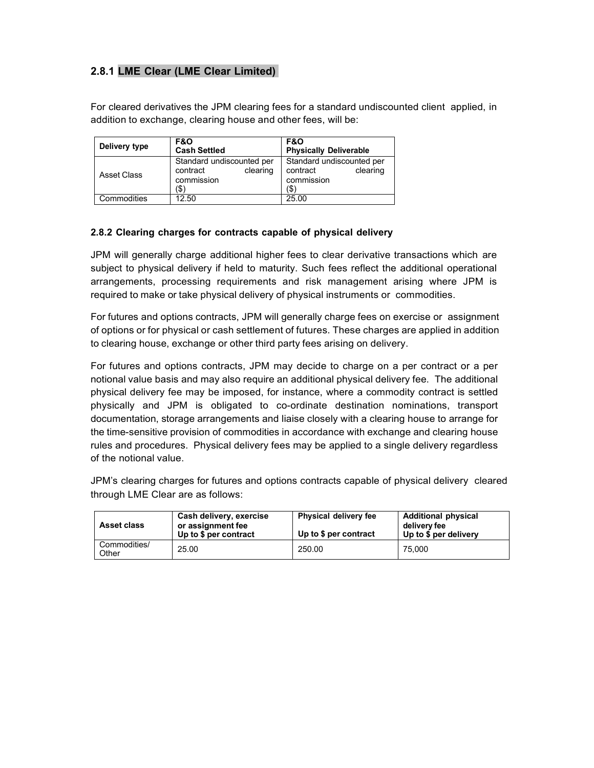## **2.8.1 LME Clear (LME Clear Limited)**

For cleared derivatives the JPM clearing fees for a standard undiscounted client applied, in addition to exchange, clearing house and other fees, will be:

| Delivery type | <b>F&amp;O</b><br><b>Cash Settled</b>                                   | <b>F&amp;O</b><br><b>Physically Deliverable</b>                         |
|---------------|-------------------------------------------------------------------------|-------------------------------------------------------------------------|
| Asset Class   | Standard undiscounted per<br>clearing<br>contract<br>commission<br>(\$) | Standard undiscounted per<br>clearing<br>contract<br>commission<br>(\$) |
| Commodities   | 12.50                                                                   | 25.00                                                                   |

#### **2.8.2 Clearing charges for contracts capable of physical delivery**

JPM will generally charge additional higher fees to clear derivative transactions which are subject to physical delivery if held to maturity. Such fees reflect the additional operational arrangements, processing requirements and risk management arising where JPM is required to make or take physical delivery of physical instruments or commodities.

For futures and options contracts, JPM will generally charge fees on exercise or assignment of options or for physical or cash settlement of futures. These charges are applied in addition to clearing house, exchange or other third party fees arising on delivery.

For futures and options contracts, JPM may decide to charge on a per contract or a per notional value basis and may also require an additional physical delivery fee. The additional physical delivery fee may be imposed, for instance, where a commodity contract is settled physically and JPM is obligated to co-ordinate destination nominations, transport documentation, storage arrangements and liaise closely with a clearing house to arrange for the time-sensitive provision of commodities in accordance with exchange and clearing house rules and procedures. Physical delivery fees may be applied to a single delivery regardless of the notional value.

JPM's clearing charges for futures and options contracts capable of physical delivery cleared through LME Clear are as follows:

| <b>Asset class</b>    | Cash delivery, exercise<br>or assignment fee<br>Up to \$ per contract | <b>Physical delivery fee</b><br>Up to \$ per contract | <b>Additional physical</b><br>delivery fee<br>Up to \$ per delivery |
|-----------------------|-----------------------------------------------------------------------|-------------------------------------------------------|---------------------------------------------------------------------|
| Commodities/<br>Other | 25.00                                                                 | 250.00                                                | 75.000                                                              |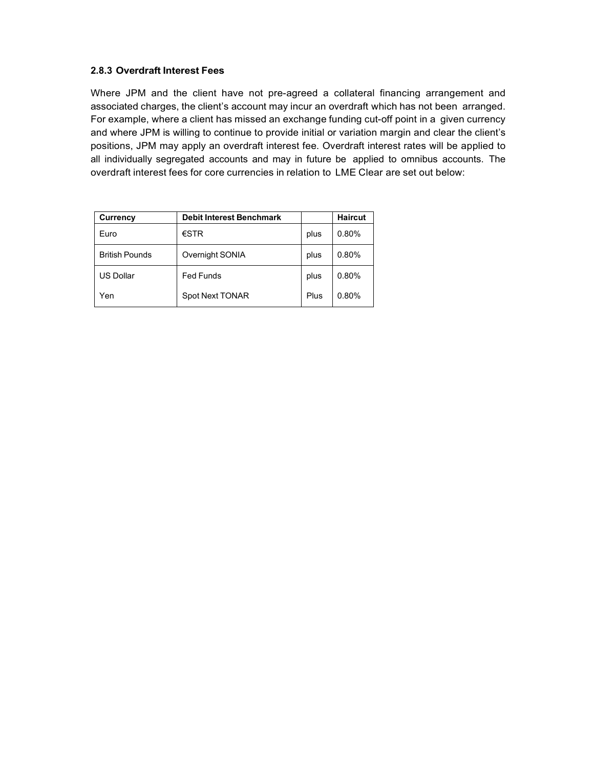#### **2.8.3 Overdraft Interest Fees**

Where JPM and the client have not pre-agreed a collateral financing arrangement and associated charges, the client's account may incur an overdraft which has not been arranged. For example, where a client has missed an exchange funding cut-off point in a given currency and where JPM is willing to continue to provide initial or variation margin and clear the client's positions, JPM may apply an overdraft interest fee. Overdraft interest rates will be applied to all individually segregated accounts and may in future be applied to omnibus accounts. The overdraft interest fees for core currencies in relation to LME Clear are set out below:

| Currency              | <b>Debit Interest Benchmark</b> |      | <b>Haircut</b> |
|-----------------------|---------------------------------|------|----------------|
| Euro                  | $\epsilon$ STR                  | plus | 0.80%          |
| <b>British Pounds</b> | Overnight SONIA                 | plus | 0.80%          |
| <b>US Dollar</b>      | <b>Fed Funds</b>                | plus | 0.80%          |
| Yen                   | <b>Spot Next TONAR</b>          | Plus | 0.80%          |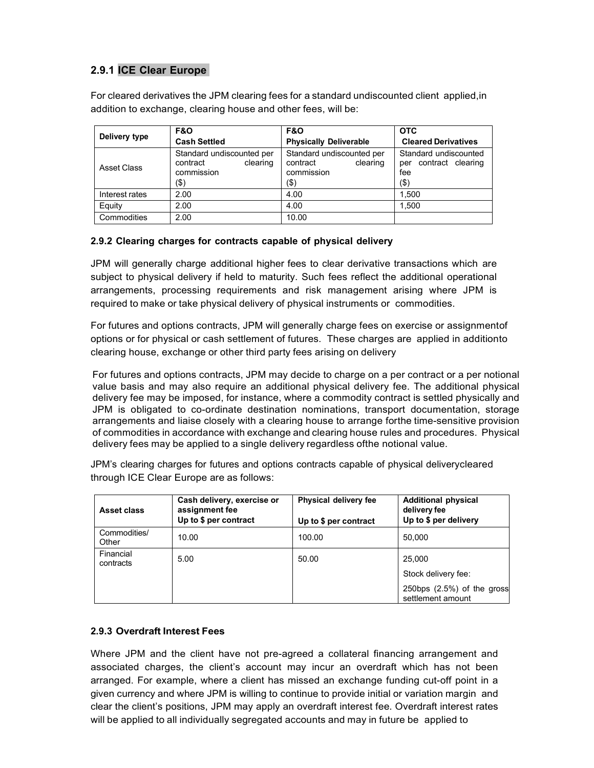## **2.9.1 ICE Clear Europe**

For cleared derivatives the JPM clearing fees for a standard undiscounted client applied,in addition to exchange, clearing house and other fees, will be:

| Delivery type  | <b>F&amp;O</b><br><b>Cash Settled</b>                                      | <b>F&amp;O</b><br><b>Physically Deliverable</b>                            | <b>OTC</b><br><b>Cleared Derivatives</b>                         |  |
|----------------|----------------------------------------------------------------------------|----------------------------------------------------------------------------|------------------------------------------------------------------|--|
| Asset Class    | Standard undiscounted per<br>contract<br>clearing<br>commission<br>$($ \$) | Standard undiscounted per<br>contract<br>clearing<br>commission<br>$($ \$) | Standard undiscounted<br>per contract clearing<br>fee<br>$($ \$) |  |
| Interest rates | 2.00                                                                       | 4.00                                                                       | 1.500                                                            |  |
| Equity         | 2.00                                                                       | 4.00                                                                       | 1.500                                                            |  |
| Commodities    | 2.00                                                                       | 10.00                                                                      |                                                                  |  |

### **2.9.2 Clearing charges for contracts capable of physical delivery**

JPM will generally charge additional higher fees to clear derivative transactions which are subject to physical delivery if held to maturity. Such fees reflect the additional operational arrangements, processing requirements and risk management arising where JPM is required to make or take physical delivery of physical instruments or commodities.

For futures and options contracts, JPM will generally charge fees on exercise or assignmentof options or for physical or cash settlement of futures. These charges are applied in additionto clearing house, exchange or other third party fees arising on delivery

For futures and options contracts, JPM may decide to charge on a per contract or a per notional value basis and may also require an additional physical delivery fee. The additional physical delivery fee may be imposed, for instance, where a commodity contract is settled physically and JPM is obligated to co-ordinate destination nominations, transport documentation, storage arrangements and liaise closely with a clearing house to arrange forthe time-sensitive provision of commodities in accordance with exchange and clearing house rules and procedures. Physical delivery fees may be applied to a single delivery regardless ofthe notional value.

JPM's clearing charges for futures and options contracts capable of physical deliverycleared through ICE Clear Europe are as follows:

| <b>Asset class</b>     | Cash delivery, exercise or<br>assignment fee<br>Up to \$ per contract | Physical delivery fee<br>Up to \$ per contract | <b>Additional physical</b><br>delivery fee<br>Up to \$ per delivery |
|------------------------|-----------------------------------------------------------------------|------------------------------------------------|---------------------------------------------------------------------|
| Commodities/<br>Other  | 10.00                                                                 | 100.00                                         | 50.000                                                              |
| Financial<br>contracts | 5.00                                                                  | 50.00                                          | 25.000<br>Stock delivery fee:                                       |
|                        |                                                                       |                                                | 250bps $(2.5\%)$ of the gross<br>settlement amount                  |

#### **2.9.3 Overdraft Interest Fees**

Where JPM and the client have not pre-agreed a collateral financing arrangement and associated charges, the client's account may incur an overdraft which has not been arranged. For example, where a client has missed an exchange funding cut-off point in a given currency and where JPM is willing to continue to provide initial or variation margin and clear the client's positions, JPM may apply an overdraft interest fee. Overdraft interest rates will be applied to all individually segregated accounts and may in future be applied to